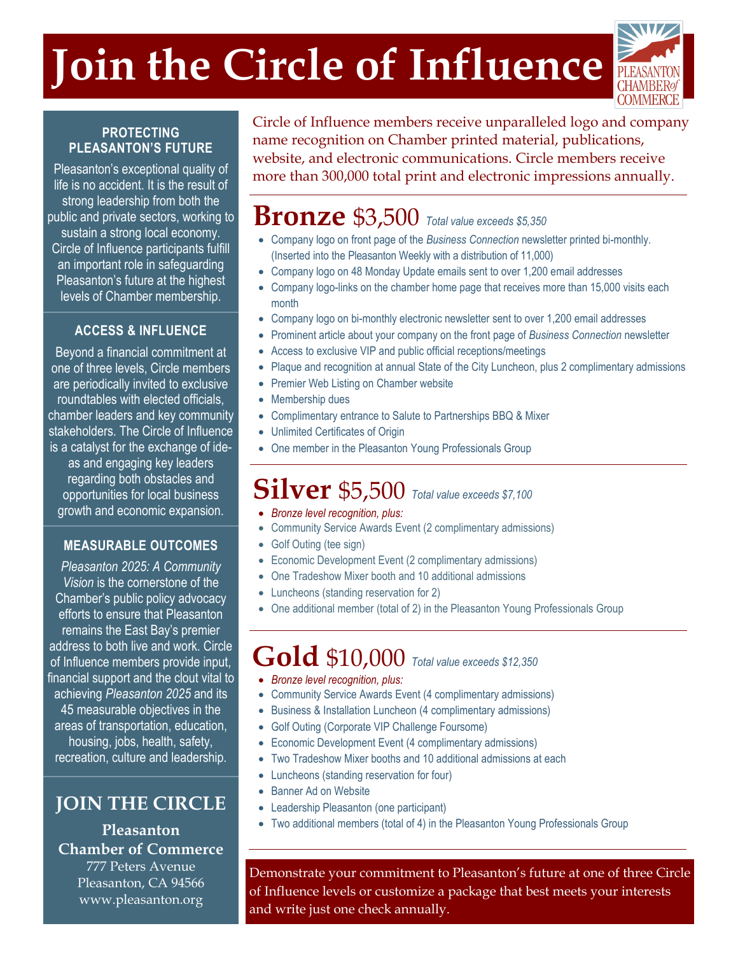# **Join the Circle of Influence**



#### **PROTECTING PLEASANTON'S FUTURE**

Pleasanton's exceptional quality of life is no accident. It is the result of strong leadership from both the public and private sectors, working to sustain a strong local economy. Circle of Influence participants fulfill an important role in safeguarding Pleasanton's future at the highest levels of Chamber membership.

#### **ACCESS & INFLUENCE**

Beyond a financial commitment at one of three levels, Circle members are periodically invited to exclusive roundtables with elected officials, chamber leaders and key community stakeholders. The Circle of Influence is a catalyst for the exchange of ideas and engaging key leaders regarding both obstacles and opportunities for local business growth and economic expansion.

#### **MEASURABLE OUTCOMES**

*Pleasanton 2025: A Community Vision* is the cornerstone of the Chamber's public policy advocacy efforts to ensure that Pleasanton remains the East Bay's premier address to both live and work. Circle of Influence members provide input, financial support and the clout vital to achieving *Pleasanton 2025* and its 45 measurable objectives in the areas of transportation, education, housing, jobs, health, safety, recreation, culture and leadership.

**JOIN THE CIRCLE**

**Pleasanton Chamber of Commerce** 777 Peters Avenue

Pleasanton, CA 94566 www.pleasanton.org

Circle of Influence members receive unparalleled logo and company name recognition on Chamber printed material, publications, website, and electronic communications. Circle members receive more than 300,000 total print and electronic impressions annually.

### **Bronze** \$3,500 *Total value exceeds \$5,350*

- Company logo on front page of the *Business Connection* newsletter printed bi-monthly. (Inserted into the Pleasanton Weekly with a distribution of 11,000)
- Company logo on 48 Monday Update emails sent to over 1,200 email addresses
- Company logo-links on the chamber home page that receives more than 15,000 visits each month
- Company logo on bi-monthly electronic newsletter sent to over 1,200 email addresses
- Prominent article about your company on the front page of *Business Connection* newsletter
- Access to exclusive VIP and public official receptions/meetings
- Plaque and recognition at annual State of the City Luncheon, plus 2 complimentary admissions
- Premier Web Listing on Chamber website
- Membership dues
- Complimentary entrance to Salute to Partnerships BBQ & Mixer
- Unlimited Certificates of Origin
- One member in the Pleasanton Young Professionals Group

## **Silver** \$5,500 *Total value exceeds \$7,100*

- *Bronze level recognition, plus:*
- Community Service Awards Event (2 complimentary admissions)
- Golf Outing (tee sign)
- Economic Development Event (2 complimentary admissions)
- One Tradeshow Mixer booth and 10 additional admissions
- Luncheons (standing reservation for 2)
- One additional member (total of 2) in the Pleasanton Young Professionals Group

## **Gold** \$10,000 *Total value exceeds \$12,350*

- *Bronze level recognition, plus:*
- Community Service Awards Event (4 complimentary admissions)
- Business & Installation Luncheon (4 complimentary admissions)
- Golf Outing (Corporate VIP Challenge Foursome)
- Economic Development Event (4 complimentary admissions)
- Two Tradeshow Mixer booths and 10 additional admissions at each
- Luncheons (standing reservation for four)
- Banner Ad on Website
- Leadership Pleasanton (one participant)
- Two additional members (total of 4) in the Pleasanton Young Professionals Group

Demonstrate your commitment to Pleasanton's future at one of three Circle of Influence levels or customize a package that best meets your interests and write just one check annually.